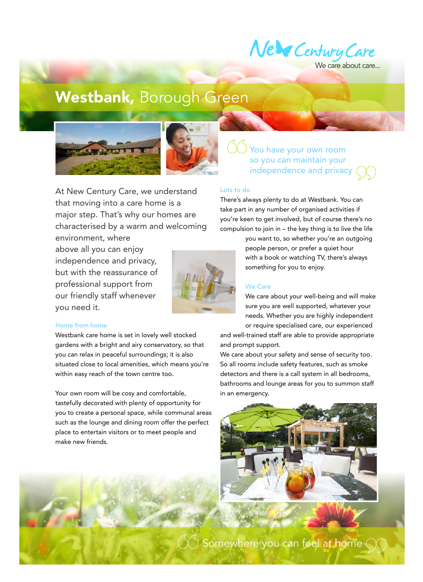

Ve care about care...

# Westbank, Borough Green





At New Century Care, we understand that moving into a care home is a major step. That's why our homes are characterised by a warm and welcoming

environment, where above all you can enjoy independence and privacy, but with the reassurance of professional support from our friendly staff whenever you need it.



### Home from home

Westbank care home is set in lovely well stocked gardens with a bright and airy conservatory, so that you can relax in peaceful surroundings; it is also situated close to local amenities, which means you're within easy reach of the town centre too.

Your own room will be cosy and comfortable, tastefully decorated with plenty of opportunity for you to create a personal space, while communal areas such as the lounge and dining room offer the perfect place to entertain visitors or to meet people and make new friends.

## You have your own room so you can maintain your independence and privacy (

#### Lots to do

There's always plenty to do at Westbank. You can take part in any number of organised activities if you're keen to get involved, but of course there's no compulsion to join in – the key thing is to live the life

> you want to, so whether you're an outgoing people person, or prefer a quiet hour with a book or watching TV, there's always something for you to enjoy.

#### We Care

We care about your well-being and will make sure you are well supported, whatever your needs. Whether you are highly independent or require specialised care, our experienced

and well-trained staff are able to provide appropriate and prompt support.

We care about your safety and sense of security too. So all rooms include safety features, such as smoke detectors and there is a call system in all bedrooms, bathrooms and lounge areas for you to summon staff in an emergency.



 $\bigcirc$  Somewhere you can feel at home (